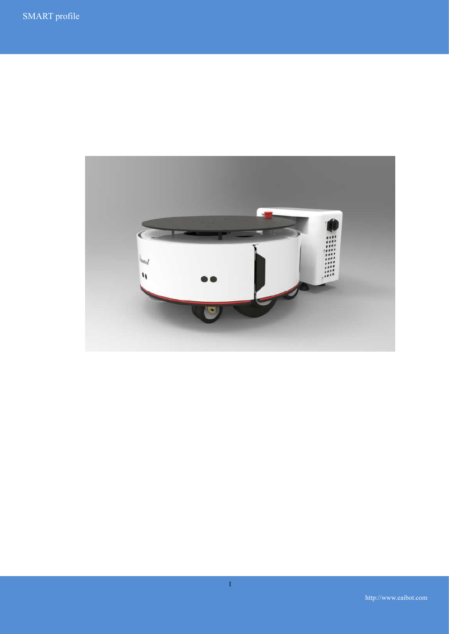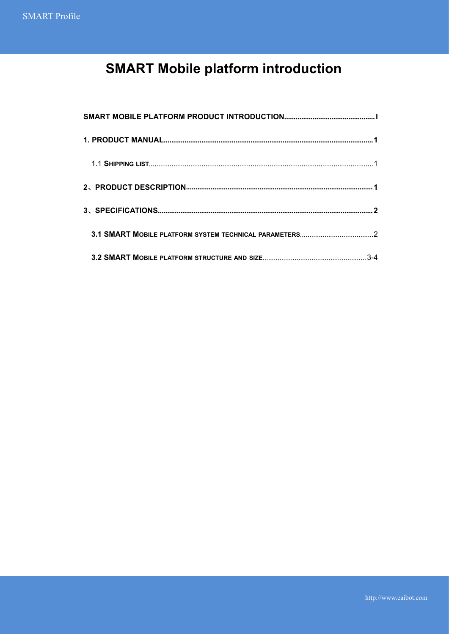# <span id="page-1-0"></span>**SMART Mobile platform introduction**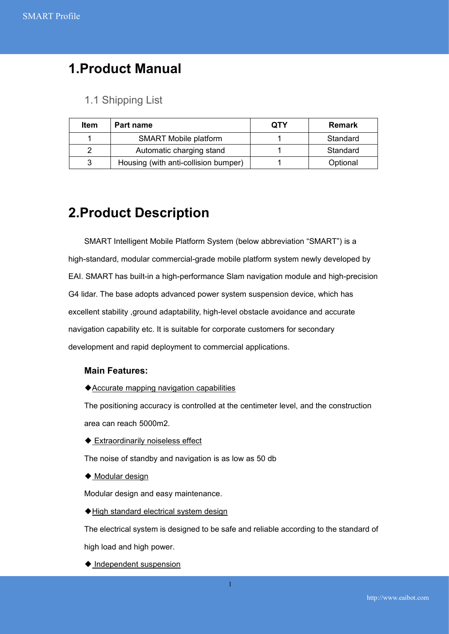### <span id="page-2-0"></span>**1.Product Manual**

#### <span id="page-2-1"></span>1.1 Shipping List

| <b>Item</b> | <b>Part name</b>                     | <b>QTY</b> | <b>Remark</b> |
|-------------|--------------------------------------|------------|---------------|
|             | <b>SMART Mobile platform</b>         |            | Standard      |
|             | Automatic charging stand             |            | Standard      |
|             | Housing (with anti-collision bumper) |            | Optional      |

### <span id="page-2-2"></span>**2.Product Description**

SMART Intelligent Mobile Platform System (below abbreviation "SMART") is a high-standard, modular commercial-grade mobile platform system newly developed by EAI. SMART has built-in a high-performance Slam navigation module and high-precision G4 lidar. The base adopts advanced power system suspension device, which has excellent stability ,ground adaptability, high-level obstacle avoidance and accurate navigation capability etc. It is suitable for corporate customers for secondary development and rapid deployment to commercial applications.

#### **Main Features:**

◆Accurate mapping navigation capabilities

The positioning accuracy is controlled at the centimeter level, and the construction area can reach 5000m2.

◆ Extraordinarily noiseless effect

The noise of standby and navigation is as low as 50 db

◆ Modular design

Modular design and easy maintenance.

◆High standard electrical system design

The electrical system is designed to be safe and reliable according to the standard of high load and high power.

◆ Independent suspension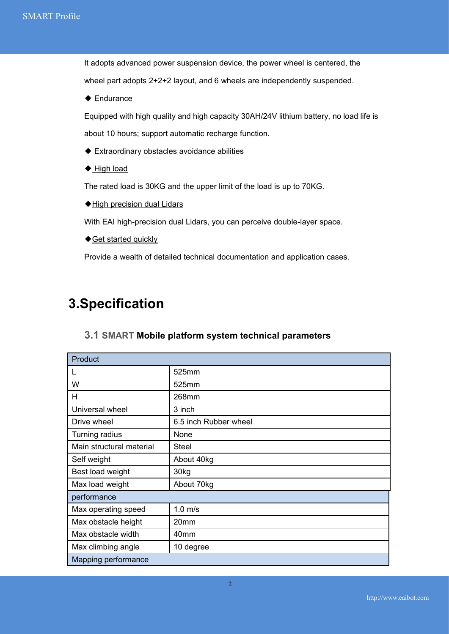It adopts advanced power suspension device, the power wheel is centered, the wheel part adopts 2+2+2 layout, and 6 wheels are independently suspended.

◆ Endurance

Equipped with high quality and high capacity 30AH/24V lithium battery, no load life is about 10 hours; support automatic recharge function.

- ◆ Extraordinary obstacles avoidance abilities
- ◆ High load

The rated load is 30KG and the upper limit of the load is up to 70KG.

◆High precision dual Lidars

With EAI high-precision dual Lidars, you can perceive double-layer space.

◆ Get started quickly

Provide a wealth of detailed technical documentation and application cases.

## <span id="page-3-0"></span>**3.Specification**

| Product                  |                       |
|--------------------------|-----------------------|
|                          | 525mm                 |
| W                        | 525mm                 |
| H                        | 268mm                 |
| Universal wheel          | 3 inch                |
| Drive wheel              | 6.5 inch Rubber wheel |
| Turning radius           | None                  |
| Main structural material | <b>Steel</b>          |
| Self weight              | About 40kg            |
| Best load weight         | 30kg                  |
| Max load weight          | About 70kg            |
| performance              |                       |
| Max operating speed      | $1.0 \text{ m/s}$     |
| Max obstacle height      | 20mm                  |
| Max obstacle width       | 40mm                  |
| Max climbing angle       | 10 degree             |
| Mapping performance      |                       |

#### <span id="page-3-1"></span>**3.1 SMART Mobile platform system technical parameters**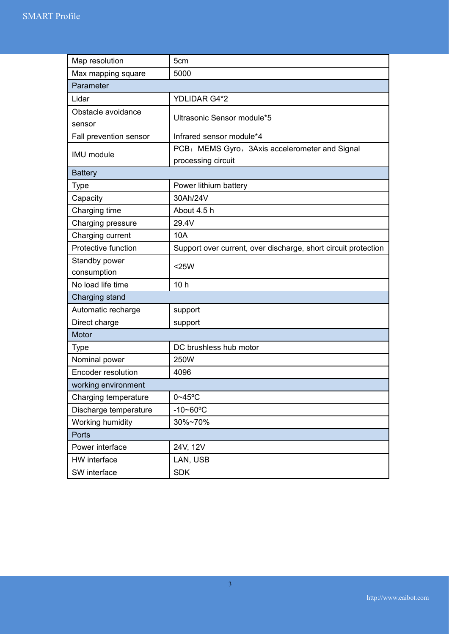| Map resolution         | 5cm                                                            |  |  |
|------------------------|----------------------------------------------------------------|--|--|
| Max mapping square     | 5000                                                           |  |  |
| Parameter              |                                                                |  |  |
| Lidar                  | YDLIDAR G4*2                                                   |  |  |
| Obstacle avoidance     | Ultrasonic Sensor module*5                                     |  |  |
| sensor                 |                                                                |  |  |
| Fall prevention sensor | Infrared sensor module*4                                       |  |  |
| <b>IMU</b> module      | PCB: MEMS Gyro, 3Axis accelerometer and Signal                 |  |  |
|                        | processing circuit                                             |  |  |
| <b>Battery</b>         |                                                                |  |  |
| <b>Type</b>            | Power lithium battery                                          |  |  |
| Capacity               | 30Ah/24V                                                       |  |  |
| Charging time          | About 4.5 h                                                    |  |  |
| Charging pressure      | 29.4V                                                          |  |  |
| Charging current       | 10A                                                            |  |  |
| Protective function    | Support over current, over discharge, short circuit protection |  |  |
| Standby power          | $<$ 25W                                                        |  |  |
| consumption            |                                                                |  |  |
| No load life time      | 10 <sub>h</sub>                                                |  |  |
| Charging stand         |                                                                |  |  |
| Automatic recharge     | support                                                        |  |  |
| Direct charge          | support                                                        |  |  |
| Motor                  |                                                                |  |  |
| <b>Type</b>            | DC brushless hub motor                                         |  |  |
| Nominal power          | 250W                                                           |  |  |
| Encoder resolution     | 4096                                                           |  |  |
| working environment    |                                                                |  |  |
| Charging temperature   | 0~45°C                                                         |  |  |
| Discharge temperature  | $-10 - 60$ °C                                                  |  |  |
| Working humidity       | 30%~70%                                                        |  |  |
| Ports                  |                                                                |  |  |
| Power interface        | 24V, 12V                                                       |  |  |
| HW interface           | LAN, USB                                                       |  |  |
| SW interface           | <b>SDK</b>                                                     |  |  |